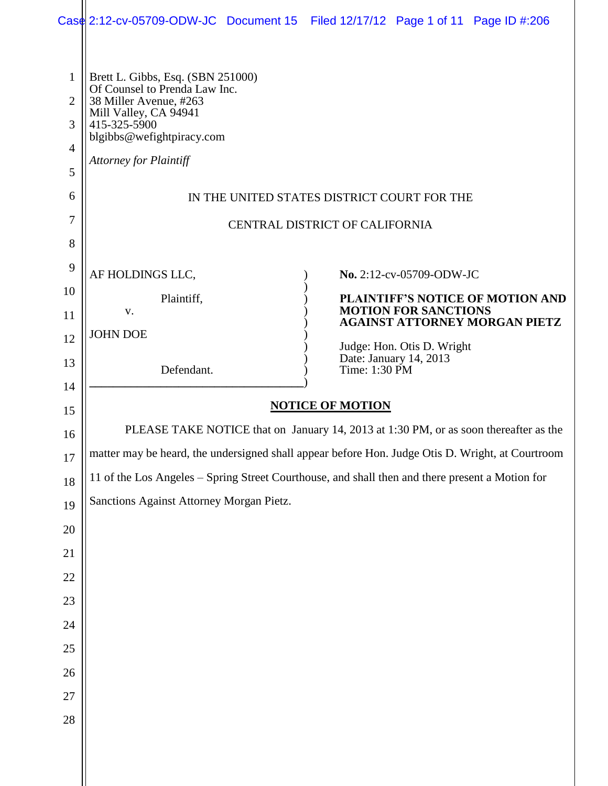|                                                                           | Case 2:12-cv-05709-ODW-JC Document 15 Filed 12/17/12 Page 1 of 11 Page ID #:206                                                                                                                     |  |                                                                                                                                                                                  |  |  |
|---------------------------------------------------------------------------|-----------------------------------------------------------------------------------------------------------------------------------------------------------------------------------------------------|--|----------------------------------------------------------------------------------------------------------------------------------------------------------------------------------|--|--|
| $\mathbf{1}$<br>$\overline{2}$<br>3<br>$\overline{4}$<br>5<br>6<br>7<br>8 | Brett L. Gibbs, Esq. (SBN 251000)<br>Of Counsel to Prenda Law Inc.<br>38 Miller Avenue, #263<br>Mill Valley, CA 94941<br>415-325-5900<br>blgibbs@wefightpiracy.com<br><b>Attorney for Plaintiff</b> |  | IN THE UNITED STATES DISTRICT COURT FOR THE<br>CENTRAL DISTRICT OF CALIFORNIA                                                                                                    |  |  |
| 9                                                                         |                                                                                                                                                                                                     |  |                                                                                                                                                                                  |  |  |
| 10                                                                        | AF HOLDINGS LLC,                                                                                                                                                                                    |  | No. 2:12-cv-05709-ODW-JC                                                                                                                                                         |  |  |
| 11                                                                        | Plaintiff,<br>V.<br><b>JOHN DOE</b><br>Defendant.                                                                                                                                                   |  | PLAINTIFF'S NOTICE OF MOTION AND<br><b>MOTION FOR SANCTIONS</b><br><b>AGAINST ATTORNEY MORGAN PIETZ</b><br>Judge: Hon. Otis D. Wright<br>Date: January 14, 2013<br>Time: 1:30 PM |  |  |
| 12                                                                        |                                                                                                                                                                                                     |  |                                                                                                                                                                                  |  |  |
| 13                                                                        |                                                                                                                                                                                                     |  |                                                                                                                                                                                  |  |  |
| 14                                                                        |                                                                                                                                                                                                     |  |                                                                                                                                                                                  |  |  |
| 15                                                                        | <b>NOTICE OF MOTION</b>                                                                                                                                                                             |  |                                                                                                                                                                                  |  |  |
| 16                                                                        | PLEASE TAKE NOTICE that on January 14, 2013 at 1:30 PM, or as soon thereafter as the                                                                                                                |  |                                                                                                                                                                                  |  |  |
| 17                                                                        | matter may be heard, the undersigned shall appear before Hon. Judge Otis D. Wright, at Courtroom                                                                                                    |  |                                                                                                                                                                                  |  |  |
| 18                                                                        | 11 of the Los Angeles - Spring Street Courthouse, and shall then and there present a Motion for                                                                                                     |  |                                                                                                                                                                                  |  |  |
| 19                                                                        | Sanctions Against Attorney Morgan Pietz.                                                                                                                                                            |  |                                                                                                                                                                                  |  |  |
| 20                                                                        |                                                                                                                                                                                                     |  |                                                                                                                                                                                  |  |  |
| 21                                                                        |                                                                                                                                                                                                     |  |                                                                                                                                                                                  |  |  |
| 22                                                                        |                                                                                                                                                                                                     |  |                                                                                                                                                                                  |  |  |
| 23                                                                        |                                                                                                                                                                                                     |  |                                                                                                                                                                                  |  |  |
| 24                                                                        |                                                                                                                                                                                                     |  |                                                                                                                                                                                  |  |  |
| 25                                                                        |                                                                                                                                                                                                     |  |                                                                                                                                                                                  |  |  |
| 26                                                                        |                                                                                                                                                                                                     |  |                                                                                                                                                                                  |  |  |
| 27<br>28                                                                  |                                                                                                                                                                                                     |  |                                                                                                                                                                                  |  |  |
|                                                                           |                                                                                                                                                                                                     |  |                                                                                                                                                                                  |  |  |
|                                                                           |                                                                                                                                                                                                     |  |                                                                                                                                                                                  |  |  |
|                                                                           |                                                                                                                                                                                                     |  |                                                                                                                                                                                  |  |  |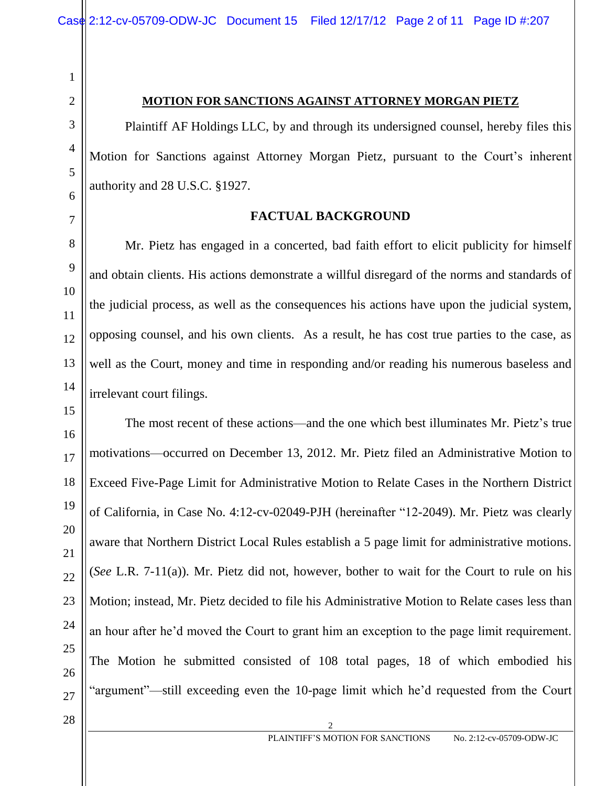2 3

4

5

6

7

8

9

10

11

12

13

1

### **MOTION FOR SANCTIONS AGAINST ATTORNEY MORGAN PIETZ**

Plaintiff AF Holdings LLC, by and through its undersigned counsel, hereby files this Motion for Sanctions against Attorney Morgan Pietz, pursuant to the Court's inherent authority and 28 U.S.C. §1927.

**FACTUAL BACKGROUND**

Mr. Pietz has engaged in a concerted, bad faith effort to elicit publicity for himself and obtain clients. His actions demonstrate a willful disregard of the norms and standards of the judicial process, as well as the consequences his actions have upon the judicial system, opposing counsel, and his own clients. As a result, he has cost true parties to the case, as well as the Court, money and time in responding and/or reading his numerous baseless and irrelevant court filings.

The most recent of these actions—and the one which best illuminates Mr. Pietz's true motivations—occurred on December 13, 2012. Mr. Pietz filed an Administrative Motion to Exceed Five-Page Limit for Administrative Motion to Relate Cases in the Northern District of California, in Case No. 4:12-cv-02049-PJH (hereinafter "12-2049). Mr. Pietz was clearly aware that Northern District Local Rules establish a 5 page limit for administrative motions. (*See* L.R. 7-11(a)). Mr. Pietz did not, however, bother to wait for the Court to rule on his Motion; instead, Mr. Pietz decided to file his Administrative Motion to Relate cases less than an hour after he'd moved the Court to grant him an exception to the page limit requirement. The Motion he submitted consisted of 108 total pages, 18 of which embodied his "argument"—still exceeding even the 10-page limit which he'd requested from the Court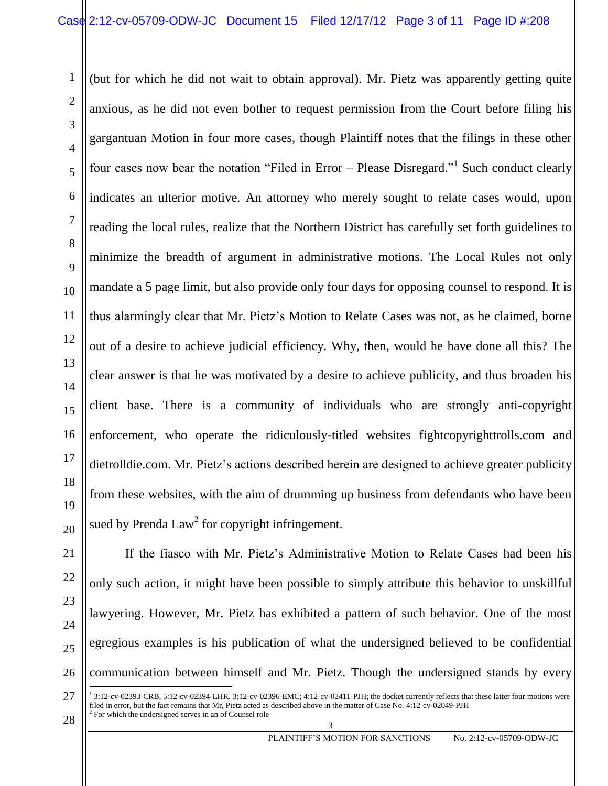(but for which he did not wait to obtain approval). Mr. Pietz was apparently getting quite anxious, as he did not even bother to request permission from the Court before filing his gargantuan Motion in four more cases, though Plaintiff notes that the filings in these other four cases now bear the notation "Filed in Error – Please Disregard."<sup>1</sup> Such conduct clearly indicates an ulterior motive. An attorney who merely sought to relate cases would, upon reading the local rules, realize that the Northern District has carefully set forth guidelines to minimize the breadth of argument in administrative motions. The Local Rules not only mandate a 5 page limit, but also provide only four days for opposing counsel to respond. It is thus alarmingly clear that Mr. Pietz's Motion to Relate Cases was not, as he claimed, borne out of a desire to achieve judicial efficiency. Why, then, would he have done all this? The clear answer is that he was motivated by a desire to achieve publicity, and thus broaden his client base. There is a community of individuals who are strongly anti-copyright enforcement, who operate the ridiculously-titled websites fightcopyrighttrolls.com and dietrolldie.com. Mr. Pietz's actions described herein are designed to achieve greater publicity from these websites, with the aim of drumming up business from defendants who have been sued by Prenda Law<sup>2</sup> for copyright infringement.

1

2

3

4

5

6

7

If the fiasco with Mr. Pietz's Administrative Motion to Relate Cases had been his only such action, it might have been possible to simply attribute this behavior to unskillful lawyering. However, Mr. Pietz has exhibited a pattern of such behavior. One of the most egregious examples is his publication of what the undersigned believed to be confidential communication between himself and Mr. Pietz. Though the undersigned stands by every  $\overline{a}$ 

 $28 \int_{0}^{2}$  For which the undersigned serves in an of Counsel role 3 1 3:12-cv-02393-CRB, 5:12-cv-02394-LHK, 3:12-cv-02396-EMC; 4:12-cv-02411-PJH; the docket currently reflects that these latter four motions were filed in error, but the fact remains that Mr, Pietz acted as described above in the matter of Case No. 4:12-cv-02049-PJH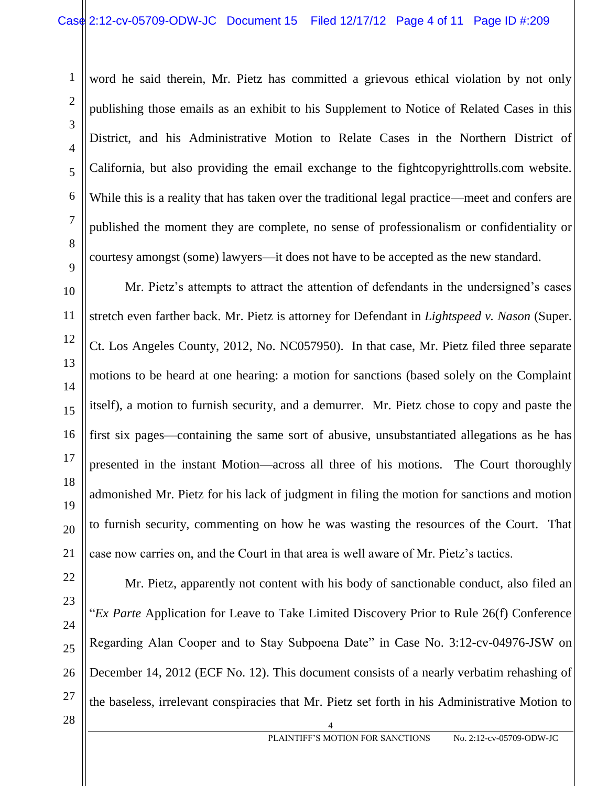word he said therein, Mr. Pietz has committed a grievous ethical violation by not only publishing those emails as an exhibit to his Supplement to Notice of Related Cases in this District, and his Administrative Motion to Relate Cases in the Northern District of California, but also providing the email exchange to the fightcopyrighttrolls.com website. While this is a reality that has taken over the traditional legal practice—meet and confers are published the moment they are complete, no sense of professionalism or confidentiality or courtesy amongst (some) lawyers—it does not have to be accepted as the new standard.

Mr. Pietz's attempts to attract the attention of defendants in the undersigned's cases stretch even farther back. Mr. Pietz is attorney for Defendant in *Lightspeed v. Nason* (Super. Ct. Los Angeles County, 2012, No. NC057950). In that case, Mr. Pietz filed three separate motions to be heard at one hearing: a motion for sanctions (based solely on the Complaint itself), a motion to furnish security, and a demurrer. Mr. Pietz chose to copy and paste the first six pages—containing the same sort of abusive, unsubstantiated allegations as he has presented in the instant Motion—across all three of his motions. The Court thoroughly admonished Mr. Pietz for his lack of judgment in filing the motion for sanctions and motion to furnish security, commenting on how he was wasting the resources of the Court. That case now carries on, and the Court in that area is well aware of Mr. Pietz's tactics.

1

2

3

4

 $\begin{array}{c|c|c|c|c} \hline 28 & 4 \end{array}$ Mr. Pietz, apparently not content with his body of sanctionable conduct, also filed an "*Ex Parte* Application for Leave to Take Limited Discovery Prior to Rule 26(f) Conference Regarding Alan Cooper and to Stay Subpoena Date" in Case No. 3:12-cv-04976-JSW on December 14, 2012 (ECF No. 12). This document consists of a nearly verbatim rehashing of the baseless, irrelevant conspiracies that Mr. Pietz set forth in his Administrative Motion to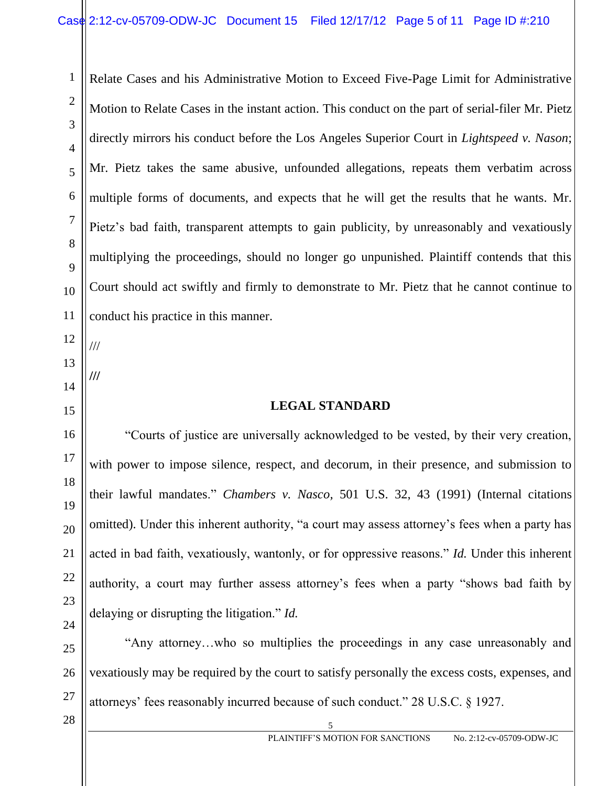Relate Cases and his Administrative Motion to Exceed Five-Page Limit for Administrative Motion to Relate Cases in the instant action. This conduct on the part of serial-filer Mr. Pietz directly mirrors his conduct before the Los Angeles Superior Court in *Lightspeed v. Nason*; Mr. Pietz takes the same abusive, unfounded allegations, repeats them verbatim across multiple forms of documents, and expects that he will get the results that he wants. Mr. Pietz's bad faith, transparent attempts to gain publicity, by unreasonably and vexatiously multiplying the proceedings, should no longer go unpunished. Plaintiff contends that this Court should act swiftly and firmly to demonstrate to Mr. Pietz that he cannot continue to conduct his practice in this manner.

12 13 ///

**///**

14

1

2

3

4

5

6

7

8

9

10

11

15

16

17

18

19

20

21

22

23

24

# **LEGAL STANDARD**

"Courts of justice are universally acknowledged to be vested, by their very creation, with power to impose silence, respect, and decorum, in their presence, and submission to their lawful mandates." *Chambers v. Nasco,* 501 U.S. 32, 43 (1991) (Internal citations omitted). Under this inherent authority, "a court may assess attorney's fees when a party has acted in bad faith, vexatiously, wantonly, or for oppressive reasons." *Id.* Under this inherent authority, a court may further assess attorney's fees when a party "shows bad faith by delaying or disrupting the litigation." *Id.*

25 26 27 "Any attorney…who so multiplies the proceedings in any case unreasonably and vexatiously may be required by the court to satisfy personally the excess costs, expenses, and attorneys' fees reasonably incurred because of such conduct." 28 U.S.C. § 1927.

 $\begin{array}{c|c|c|c|c} \hline 28 & 5 \end{array}$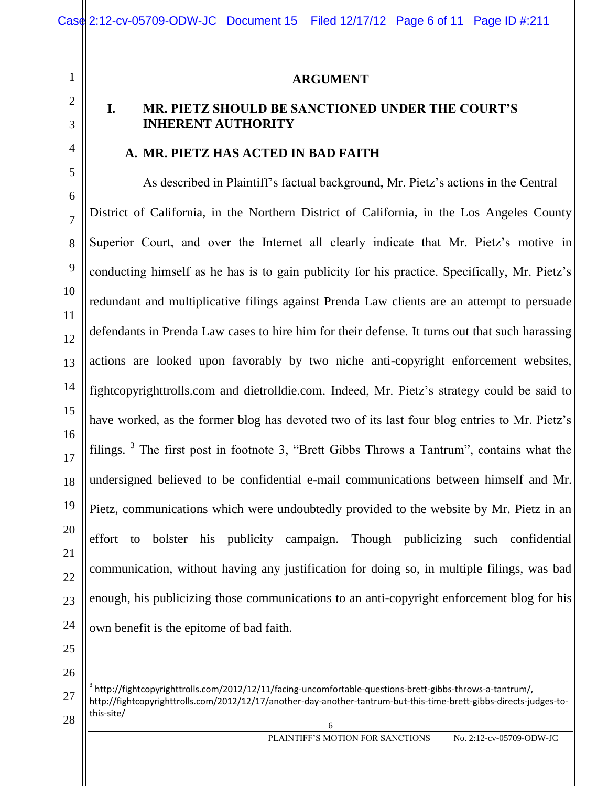#### **ARGUMENT**

# 3

4

5

6

7

8

9

10

11

12

13

14

15

16

17

18

19

20

21

22

23

24

1

2

## **I. MR. PIETZ SHOULD BE SANCTIONED UNDER THE COURT'S INHERENT AUTHORITY**

#### **A. MR. PIETZ HAS ACTED IN BAD FAITH**

As described in Plaintiff's factual background, Mr. Pietz's actions in the Central District of California, in the Northern District of California, in the Los Angeles County Superior Court, and over the Internet all clearly indicate that Mr. Pietz's motive in conducting himself as he has is to gain publicity for his practice. Specifically, Mr. Pietz's redundant and multiplicative filings against Prenda Law clients are an attempt to persuade defendants in Prenda Law cases to hire him for their defense. It turns out that such harassing actions are looked upon favorably by two niche anti-copyright enforcement websites, fightcopyrighttrolls.com and dietrolldie.com. Indeed, Mr. Pietz's strategy could be said to have worked, as the former blog has devoted two of its last four blog entries to Mr. Pietz's filings.  $3$  The first post in footnote 3, "Brett Gibbs Throws a Tantrum", contains what the undersigned believed to be confidential e-mail communications between himself and Mr. Pietz, communications which were undoubtedly provided to the website by Mr. Pietz in an effort to bolster his publicity campaign. Though publicizing such confidential communication, without having any justification for doing so, in multiple filings, was bad enough, his publicizing those communications to an anti-copyright enforcement blog for his own benefit is the epitome of bad faith.

<sup>27</sup>  $28 \parallel \frac{\text{masses}}{6}$  $\overline{a}$  $^3$  http://fightcopyrighttrolls.com/2012/12/11/facing-uncomfortable-questions-brett-gibbs-throws-a-tantrum/, http://fightcopyrighttrolls.com/2012/12/17/another-day-another-tantrum-but-this-time-brett-gibbs-directs-judges-tothis-site/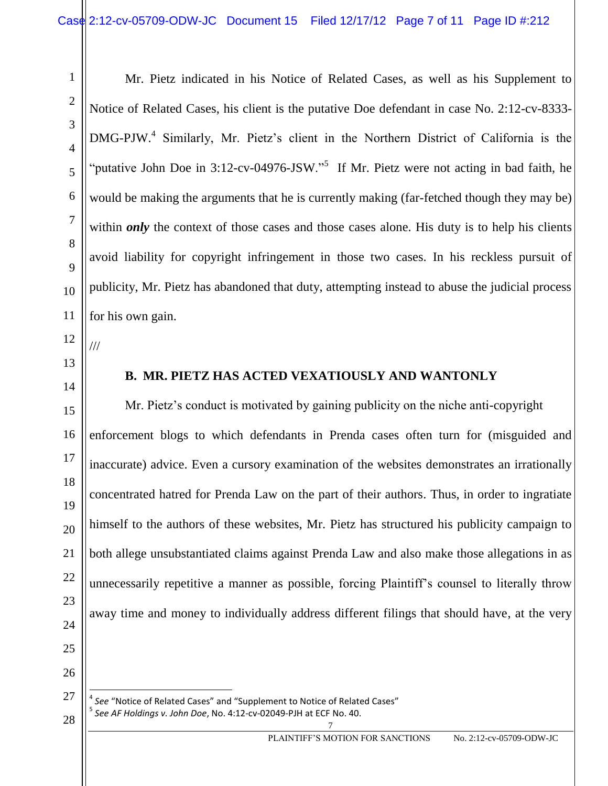Mr. Pietz indicated in his Notice of Related Cases, as well as his Supplement to Notice of Related Cases, his client is the putative Doe defendant in case No. 2:12-cv-8333- DMG-PJW.<sup>4</sup> Similarly, Mr. Pietz's client in the Northern District of California is the "putative John Doe in 3:12-cv-04976-JSW."<sup>5</sup> If Mr. Pietz were not acting in bad faith, he would be making the arguments that he is currently making (far-fetched though they may be) within *only* the context of those cases and those cases alone. His duty is to help his clients avoid liability for copyright infringement in those two cases. In his reckless pursuit of publicity, Mr. Pietz has abandoned that duty, attempting instead to abuse the judicial process for his own gain.

///

1

# **B. MR. PIETZ HAS ACTED VEXATIOUSLY AND WANTONLY**

Mr. Pietz's conduct is motivated by gaining publicity on the niche anti-copyright enforcement blogs to which defendants in Prenda cases often turn for (misguided and inaccurate) advice. Even a cursory examination of the websites demonstrates an irrationally concentrated hatred for Prenda Law on the part of their authors. Thus, in order to ingratiate himself to the authors of these websites, Mr. Pietz has structured his publicity campaign to both allege unsubstantiated claims against Prenda Law and also make those allegations in as unnecessarily repetitive a manner as possible, forcing Plaintiff's counsel to literally throw away time and money to individually address different filings that should have, at the very

 $\overline{a}$ 

<sup>28</sup> <sup>7</sup> *See AF Holdings v. John Doe*, No. 4:12-cv-02049-PJH at ECF No. 40. <sup>4</sup> See "Notice of Related Cases" and "Supplement to Notice of Related Cases" 5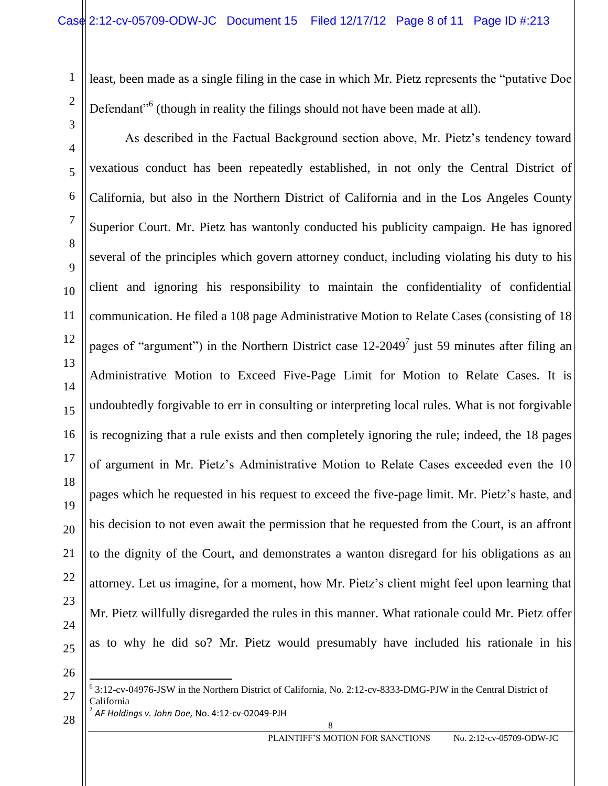least, been made as a single filing in the case in which Mr. Pietz represents the "putative Doe Defendant<sup>"6</sup> (though in reality the filings should not have been made at all).

As described in the Factual Background section above, Mr. Pietz's tendency toward vexatious conduct has been repeatedly established, in not only the Central District of California, but also in the Northern District of California and in the Los Angeles County Superior Court. Mr. Pietz has wantonly conducted his publicity campaign. He has ignored several of the principles which govern attorney conduct, including violating his duty to his client and ignoring his responsibility to maintain the confidentiality of confidential communication. He filed a 108 page Administrative Motion to Relate Cases (consisting of 18 pages of "argument") in the Northern District case  $12{\text -}2049^7$  just 59 minutes after filing an Administrative Motion to Exceed Five-Page Limit for Motion to Relate Cases. It is undoubtedly forgivable to err in consulting or interpreting local rules. What is not forgivable is recognizing that a rule exists and then completely ignoring the rule; indeed, the 18 pages of argument in Mr. Pietz's Administrative Motion to Relate Cases exceeded even the 10 pages which he requested in his request to exceed the five-page limit. Mr. Pietz's haste, and his decision to not even await the permission that he requested from the Court, is an affront to the dignity of the Court, and demonstrates a wanton disregard for his obligations as an attorney. Let us imagine, for a moment, how Mr. Pietz's client might feel upon learning that Mr. Pietz willfully disregarded the rules in this manner. What rationale could Mr. Pietz offer as to why he did so? Mr. Pietz would presumably have included his rationale in his

26 27

1

2

3

4

5

6

7

8

9

10

11

12

13

14

15

16

17

18

19

20

21

22

23

24

<sup>28</sup> <sup>8</sup> *AF Holdings v. John Doe,* No. 4:12-cv-02049-PJH 6 3:12-cv-04976-JSW in the Northern District of California, No. 2:12-cv-8333-DMG-PJW in the Central District of California 7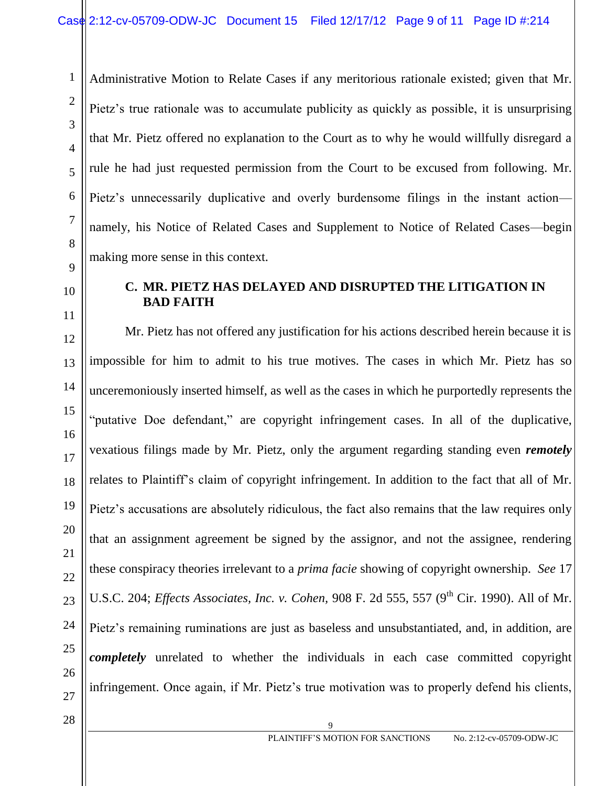Administrative Motion to Relate Cases if any meritorious rationale existed; given that Mr. Pietz's true rationale was to accumulate publicity as quickly as possible, it is unsurprising that Mr. Pietz offered no explanation to the Court as to why he would willfully disregard a rule he had just requested permission from the Court to be excused from following. Mr. Pietz's unnecessarily duplicative and overly burdensome filings in the instant actionnamely, his Notice of Related Cases and Supplement to Notice of Related Cases—begin making more sense in this context.

10

1

2

3

4

5

6

7

8

9

11

12

13

15

17

19

20

21

22

23

24

25

26

27

## **C. MR. PIETZ HAS DELAYED AND DISRUPTED THE LITIGATION IN BAD FAITH**

14 16 18 Mr. Pietz has not offered any justification for his actions described herein because it is impossible for him to admit to his true motives. The cases in which Mr. Pietz has so unceremoniously inserted himself, as well as the cases in which he purportedly represents the "putative Doe defendant," are copyright infringement cases. In all of the duplicative, vexatious filings made by Mr. Pietz, only the argument regarding standing even *remotely* relates to Plaintiff's claim of copyright infringement. In addition to the fact that all of Mr. Pietz's accusations are absolutely ridiculous, the fact also remains that the law requires only that an assignment agreement be signed by the assignor, and not the assignee, rendering these conspiracy theories irrelevant to a *prima facie* showing of copyright ownership. *See* 17 U.S.C. 204; *Effects Associates, Inc. v. Cohen, 908 F. 2d 555, 557* (9<sup>th</sup> Cir. 1990). All of Mr. Pietz's remaining ruminations are just as baseless and unsubstantiated, and, in addition, are *completely* unrelated to whether the individuals in each case committed copyright infringement. Once again, if Mr. Pietz's true motivation was to properly defend his clients,

 $\begin{array}{c|c|c|c|c} \hline \end{array}$  28  $\begin{array}{c|c|c|c} \hline \end{array}$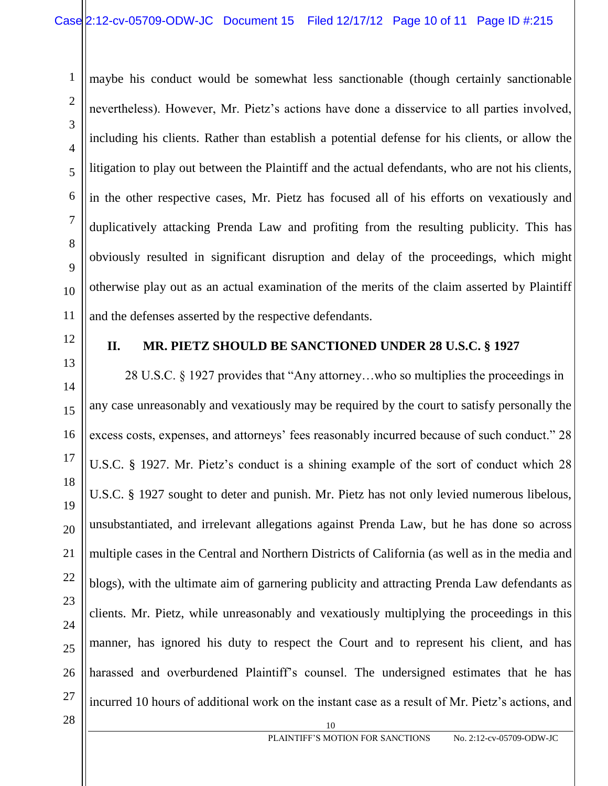maybe his conduct would be somewhat less sanctionable (though certainly sanctionable nevertheless). However, Mr. Pietz's actions have done a disservice to all parties involved, including his clients. Rather than establish a potential defense for his clients, or allow the litigation to play out between the Plaintiff and the actual defendants, who are not his clients, in the other respective cases, Mr. Pietz has focused all of his efforts on vexatiously and duplicatively attacking Prenda Law and profiting from the resulting publicity. This has obviously resulted in significant disruption and delay of the proceedings, which might otherwise play out as an actual examination of the merits of the claim asserted by Plaintiff and the defenses asserted by the respective defendants.

12

13

14

15

17

18

19

20

21

22

23

24

25

1

2

3

4

5

6

7

8

9

10

11

# **II. MR. PIETZ SHOULD BE SANCTIONED UNDER 28 U.S.C. § 1927**

16 26  $28$  || 10 28 U.S.C. § 1927 provides that "Any attorney…who so multiplies the proceedings in any case unreasonably and vexatiously may be required by the court to satisfy personally the excess costs, expenses, and attorneys' fees reasonably incurred because of such conduct." 28 U.S.C. § 1927. Mr. Pietz's conduct is a shining example of the sort of conduct which 28 U.S.C. § 1927 sought to deter and punish. Mr. Pietz has not only levied numerous libelous, unsubstantiated, and irrelevant allegations against Prenda Law, but he has done so across multiple cases in the Central and Northern Districts of California (as well as in the media and blogs), with the ultimate aim of garnering publicity and attracting Prenda Law defendants as clients. Mr. Pietz, while unreasonably and vexatiously multiplying the proceedings in this manner, has ignored his duty to respect the Court and to represent his client, and has harassed and overburdened Plaintiff's counsel. The undersigned estimates that he has incurred 10 hours of additional work on the instant case as a result of Mr. Pietz's actions, and